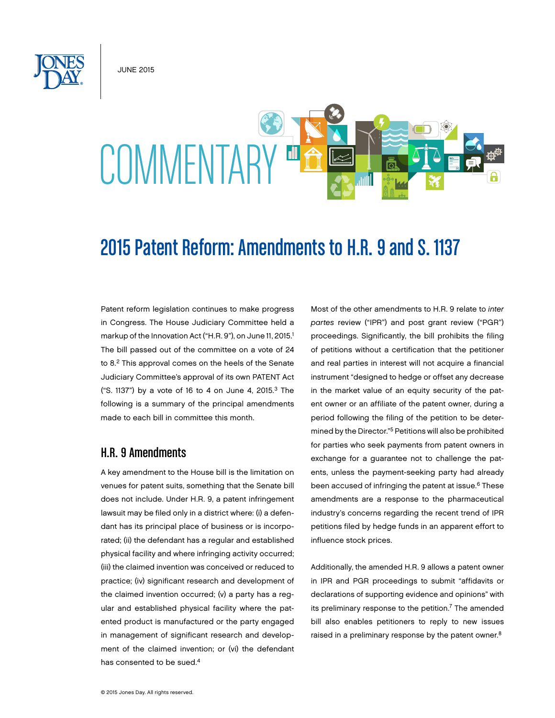JUNE 2015

# COMMENTARY ET

# 2015 Patent Reform: Amendments to H.R. 9 and S. 1137

Patent reform legislation continues to make progress in Congress. The House Judiciary Committee held a markup of the Innovation Act ("H.R. 9"), on June 11, 2015.<sup>1</sup> The bill passed out of the committee on a vote of 24 to 8.<sup>2</sup> This approval comes on the heels of the Senate Judiciary Committee's approval of its own PATENT Act ("S. 1137") by a vote of 16 to 4 on June 4, 2015.3 The following is a summary of the principal amendments made to each bill in committee this month.

## H.R. 9 Amendments

A key amendment to the House bill is the limitation on venues for patent suits, something that the Senate bill does not include. Under H.R. 9, a patent infringement lawsuit may be filed only in a district where: (i) a defendant has its principal place of business or is incorporated; (ii) the defendant has a regular and established physical facility and where infringing activity occurred; (iii) the claimed invention was conceived or reduced to practice; (iv) significant research and development of the claimed invention occurred; (v) a party has a regular and established physical facility where the patented product is manufactured or the party engaged in management of significant research and development of the claimed invention; or (vi) the defendant has consented to be sued.<sup>4</sup>

Most of the other amendments to H.R. 9 relate to *inter partes* review ("IPR") and post grant review ("PGR") proceedings. Significantly, the bill prohibits the filing of petitions without a certification that the petitioner and real parties in interest will not acquire a financial instrument "designed to hedge or offset any decrease in the market value of an equity security of the patent owner or an affiliate of the patent owner, during a period following the filing of the petition to be determined by the Director."5 Petitions will also be prohibited for parties who seek payments from patent owners in exchange for a guarantee not to challenge the patents, unless the payment-seeking party had already been accused of infringing the patent at issue.<sup>6</sup> These amendments are a response to the pharmaceutical industry's concerns regarding the recent trend of IPR petitions filed by hedge funds in an apparent effort to influence stock prices.

Additionally, the amended H.R. 9 allows a patent owner in IPR and PGR proceedings to submit "affidavits or declarations of supporting evidence and opinions" with its preliminary response to the petition. $<sup>7</sup>$  The amended</sup> bill also enables petitioners to reply to new issues raised in a preliminary response by the patent owner.<sup>8</sup>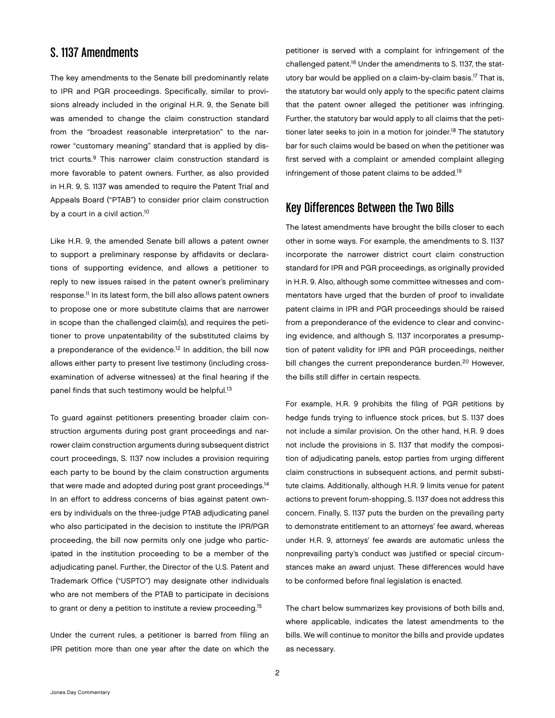## S. 1137 Amendments

The key amendments to the Senate bill predominantly relate to IPR and PGR proceedings. Specifically, similar to provisions already included in the original H.R. 9, the Senate bill was amended to change the claim construction standard from the "broadest reasonable interpretation" to the narrower "customary meaning" standard that is applied by district courts.9 This narrower claim construction standard is more favorable to patent owners. Further, as also provided in H.R. 9, S. 1137 was amended to require the Patent Trial and Appeals Board ("PTAB") to consider prior claim construction by a court in a civil action.<sup>10</sup>

Like H.R. 9, the amended Senate bill allows a patent owner to support a preliminary response by affidavits or declarations of supporting evidence, and allows a petitioner to reply to new issues raised in the patent owner's preliminary response.11 In its latest form, the bill also allows patent owners to propose one or more substitute claims that are narrower in scope than the challenged claim(s), and requires the petitioner to prove unpatentability of the substituted claims by a preponderance of the evidence.<sup>12</sup> In addition, the bill now allows either party to present live testimony (including crossexamination of adverse witnesses) at the final hearing if the panel finds that such testimony would be helpful.<sup>13</sup>

To guard against petitioners presenting broader claim construction arguments during post grant proceedings and narrower claim construction arguments during subsequent district court proceedings, S. 1137 now includes a provision requiring each party to be bound by the claim construction arguments that were made and adopted during post grant proceedings.<sup>14</sup> In an effort to address concerns of bias against patent owners by individuals on the three-judge PTAB adjudicating panel who also participated in the decision to institute the IPR/PGR proceeding, the bill now permits only one judge who participated in the institution proceeding to be a member of the adjudicating panel. Further, the Director of the U.S. Patent and Trademark Office ("USPTO") may designate other individuals who are not members of the PTAB to participate in decisions to grant or deny a petition to institute a review proceeding.<sup>15</sup>

Under the current rules, a petitioner is barred from filing an IPR petition more than one year after the date on which the

petitioner is served with a complaint for infringement of the challenged patent.16 Under the amendments to S. 1137, the statutory bar would be applied on a claim-by-claim basis.17 That is, the statutory bar would only apply to the specific patent claims that the patent owner alleged the petitioner was infringing. Further, the statutory bar would apply to all claims that the petitioner later seeks to join in a motion for joinder.<sup>18</sup> The statutory bar for such claims would be based on when the petitioner was first served with a complaint or amended complaint alleging infringement of those patent claims to be added.<sup>19</sup>

# Key Differences Between the Two Bills

The latest amendments have brought the bills closer to each other in some ways. For example, the amendments to S. 1137 incorporate the narrower district court claim construction standard for IPR and PGR proceedings, as originally provided in H.R. 9. Also, although some committee witnesses and commentators have urged that the burden of proof to invalidate patent claims in IPR and PGR proceedings should be raised from a preponderance of the evidence to clear and convincing evidence, and although S. 1137 incorporates a presumption of patent validity for IPR and PGR proceedings, neither bill changes the current preponderance burden.<sup>20</sup> However, the bills still differ in certain respects.

For example, H.R. 9 prohibits the filing of PGR petitions by hedge funds trying to influence stock prices, but S. 1137 does not include a similar provision. On the other hand, H.R. 9 does not include the provisions in S. 1137 that modify the composition of adjudicating panels, estop parties from urging different claim constructions in subsequent actions, and permit substitute claims. Additionally, although H.R. 9 limits venue for patent actions to prevent forum-shopping, S. 1137 does not address this concern. Finally, S. 1137 puts the burden on the prevailing party to demonstrate entitlement to an attorneys' fee award, whereas under H.R. 9, attorneys' fee awards are automatic unless the nonprevailing party's conduct was justified or special circumstances make an award unjust. These differences would have to be conformed before final legislation is enacted.

The chart below summarizes key provisions of both bills and, where applicable, indicates the latest amendments to the bills. We will continue to monitor the bills and provide updates as necessary.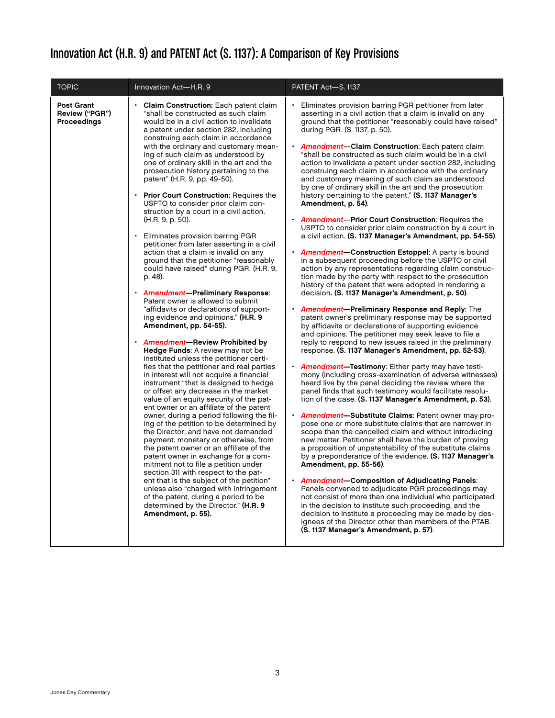# Innovation Act (H.R. 9) and PATENT Act (S. 1137): A Comparison of Key Provisions

| <b>TOPIC</b>                                | Innovation Act-H.R. 9                                                                                                                                                                                                                                                                                                                                                                                                                                                                                                                                                                                                                                                                                                                                                                                                                                                                                                                                                                                                                                                                                                                                                                                                                                                                                                                                                                                                                                                                                                                                                                                                                                                                                                                                                                                                                                                                                            | PATENT Act-S. 1137                                                                                                                                                                                                                                                                                                                                                                                                                                                                                                                                                                                                                                                                                                                                                                                                                                                                                                                                                                                                                                                                                                                                                                                                                                                                                                                                                                                                                                                                                                                                                                                                                                                                                                                                                                                                                                                                                                                                                                                                                                                                                                                                                                                                                                                                                                                                                                                                                                                                                                                                                                                                                                                 |
|---------------------------------------------|------------------------------------------------------------------------------------------------------------------------------------------------------------------------------------------------------------------------------------------------------------------------------------------------------------------------------------------------------------------------------------------------------------------------------------------------------------------------------------------------------------------------------------------------------------------------------------------------------------------------------------------------------------------------------------------------------------------------------------------------------------------------------------------------------------------------------------------------------------------------------------------------------------------------------------------------------------------------------------------------------------------------------------------------------------------------------------------------------------------------------------------------------------------------------------------------------------------------------------------------------------------------------------------------------------------------------------------------------------------------------------------------------------------------------------------------------------------------------------------------------------------------------------------------------------------------------------------------------------------------------------------------------------------------------------------------------------------------------------------------------------------------------------------------------------------------------------------------------------------------------------------------------------------|--------------------------------------------------------------------------------------------------------------------------------------------------------------------------------------------------------------------------------------------------------------------------------------------------------------------------------------------------------------------------------------------------------------------------------------------------------------------------------------------------------------------------------------------------------------------------------------------------------------------------------------------------------------------------------------------------------------------------------------------------------------------------------------------------------------------------------------------------------------------------------------------------------------------------------------------------------------------------------------------------------------------------------------------------------------------------------------------------------------------------------------------------------------------------------------------------------------------------------------------------------------------------------------------------------------------------------------------------------------------------------------------------------------------------------------------------------------------------------------------------------------------------------------------------------------------------------------------------------------------------------------------------------------------------------------------------------------------------------------------------------------------------------------------------------------------------------------------------------------------------------------------------------------------------------------------------------------------------------------------------------------------------------------------------------------------------------------------------------------------------------------------------------------------------------------------------------------------------------------------------------------------------------------------------------------------------------------------------------------------------------------------------------------------------------------------------------------------------------------------------------------------------------------------------------------------------------------------------------------------------------------------------------------------|
| Post Grant<br>Review ("PGR")<br>Proceedings | Claim Construction: Each patent claim<br>"shall be constructed as such claim<br>would be in a civil action to invalidate<br>a patent under section 282, including<br>construing each claim in accordance<br>with the ordinary and customary mean-<br>ing of such claim as understood by<br>one of ordinary skill in the art and the<br>prosecution history pertaining to the<br>patent" (H.R. 9, pp. 49-50).<br><b>Prior Court Construction: Requires the</b><br>USPTO to consider prior claim con-<br>struction by a court in a civil action.<br>(H.R. 9, p. 50).<br>Eliminates provision barring PGR<br>petitioner from later asserting in a civil<br>action that a claim is invalid on any<br>ground that the petitioner "reasonably<br>could have raised" during PGR. (H.R. 9,<br>p. 48).<br>· Amendment-Preliminary Response:<br>Patent owner is allowed to submit<br>"affidavits or declarations of support-<br>ing evidence and opinions." (H.R. 9<br>Amendment, pp. 54-55).<br><b>Amendment-Review Prohibited by</b><br>Hedge Funds: A review may not be<br>instituted unless the petitioner certi-<br>fies that the petitioner and real parties<br>in interest will not acquire a financial<br>instrument "that is designed to hedge<br>or offset any decrease in the market<br>value of an equity security of the pat-<br>ent owner or an affiliate of the patent<br>owner, during a period following the fil-<br>ing of the petition to be determined by<br>the Director; and have not demanded<br>payment, monetary or otherwise, from<br>the patent owner or an affiliate of the<br>patent owner in exchange for a com-<br>mitment not to file a petition under<br>section 311 with respect to the pat-<br>ent that is the subject of the petition"<br>unless also "charged with infringement<br>of the patent, during a period to be<br>determined by the Director." (H.R. 9<br>Amendment, p. 55). | Eliminates provision barring PGR petitioner from later<br>asserting in a civil action that a claim is invalid on any<br>ground that the petitioner "reasonably could have raised"<br>during PGR. (S. 1137, p. 50).<br><b>Amendment-Claim Construction: Each patent claim</b><br>"shall be constructed as such claim would be in a civil<br>action to invalidate a patent under section 282, including<br>construing each claim in accordance with the ordinary<br>and customary meaning of such claim as understood<br>by one of ordinary skill in the art and the prosecution<br>history pertaining to the patent." (S. 1137 Manager's<br>Amendment, p. 54).<br><b>Amendment-Prior Court Construction: Requires the</b><br>USPTO to consider prior claim construction by a court in<br>a civil action. (S. 1137 Manager's Amendment, pp. 54-55).<br><b>Amendment-Construction Estoppel:</b> A party is bound<br>in a subsequent proceeding before the USPTO or civil<br>action by any representations regarding claim construc-<br>tion made by the party with respect to the prosecution<br>history of the patent that were adopted in rendering a<br>decision. (S. 1137 Manager's Amendment, p. 50).<br><b>Amendment-Preliminary Response and Reply:</b> The<br>patent owner's preliminary response may be supported<br>by affidavits or declarations of supporting evidence<br>and opinions. The petitioner may seek leave to file a<br>reply to respond to new issues raised in the preliminary<br>response. (S. 1137 Manager's Amendment, pp. 52-53).<br><b>Amendment-Testimony:</b> Either party may have testi-<br>mony (including cross-examination of adverse witnesses)<br>heard live by the panel deciding the review where the<br>panel finds that such testimony would facilitate resolu-<br>tion of the case. (S. 1137 Manager's Amendment, p. 53).<br>• <b>Amendment-Substitute Claims</b> : Patent owner may pro-<br>pose one or more substitute claims that are narrower in<br>scope than the cancelled claim and without introducing<br>new matter. Petitioner shall have the burden of proving<br>a proposition of unpatentability of the substitute claims<br>by a preponderance of the evidence. (S. 1137 Manager's<br>Amendment, pp. 55-56).<br><b>Amendment-Composition of Adjudicating Panels:</b><br>Panels convened to adjudicate PGR proceedings may<br>not consist of more than one individual who participated<br>in the decision to institute such proceeding, and the<br>decision to institute a proceeding may be made by des-<br>ignees of the Director other than members of the PTAB.<br>(S. 1137 Manager's Amendment, p. 57). |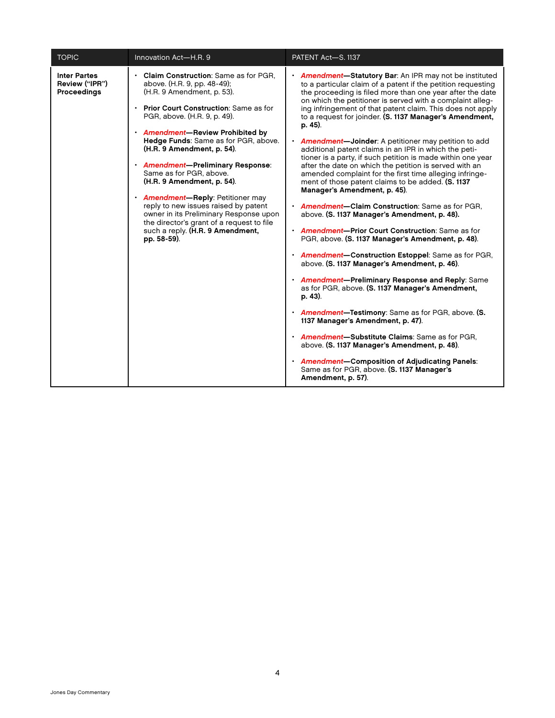| <b>TOPIC</b>                                  | Innovation Act-H.R. 9                                                                                                                                                                                                                                                                                                                                                                                                                                                                                                                                                                                       | PATENT Act-S. 1137                                                                                                                                                                                                                                                                                                                                                                                                                                                                                                                                                                                                                                                                                                                                                                                                                                                                                                                                                                                                                                                                                                                                                                                                                                                                                                                                                                                                                                                                                                                                   |
|-----------------------------------------------|-------------------------------------------------------------------------------------------------------------------------------------------------------------------------------------------------------------------------------------------------------------------------------------------------------------------------------------------------------------------------------------------------------------------------------------------------------------------------------------------------------------------------------------------------------------------------------------------------------------|------------------------------------------------------------------------------------------------------------------------------------------------------------------------------------------------------------------------------------------------------------------------------------------------------------------------------------------------------------------------------------------------------------------------------------------------------------------------------------------------------------------------------------------------------------------------------------------------------------------------------------------------------------------------------------------------------------------------------------------------------------------------------------------------------------------------------------------------------------------------------------------------------------------------------------------------------------------------------------------------------------------------------------------------------------------------------------------------------------------------------------------------------------------------------------------------------------------------------------------------------------------------------------------------------------------------------------------------------------------------------------------------------------------------------------------------------------------------------------------------------------------------------------------------------|
| Inter Partes<br>Review ("IPR")<br>Proceedings | Claim Construction: Same as for PGR,<br>above. (H.R. 9, pp. 48-49);<br>(H.R. 9 Amendment, p. 53).<br>• Prior Court Construction: Same as for<br>PGR, above. (H.R. 9, p. 49).<br>· Amendment-Review Prohibited by<br>Hedge Funds: Same as for PGR, above.<br>(H.R. 9 Amendment, p. 54).<br>· Amendment-Preliminary Response:<br>Same as for PGR, above.<br>(H.R. 9 Amendment, p. 54).<br>• Amendment-Reply: Petitioner may<br>reply to new issues raised by patent<br>owner in its Preliminary Response upon<br>the director's grant of a request to file<br>such a reply. (H.R. 9 Amendment,<br>pp. 58-59). | • Amendment-Statutory Bar: An IPR may not be instituted<br>to a particular claim of a patent if the petition requesting<br>the proceeding is filed more than one year after the date<br>on which the petitioner is served with a complaint alleg-<br>ing infringement of that patent claim. This does not apply<br>to a request for joinder. (S. 1137 Manager's Amendment,<br>p. 45).<br>• <b>Amendment-Joinder:</b> A petitioner may petition to add<br>additional patent claims in an IPR in which the peti-<br>tioner is a party, if such petition is made within one year<br>after the date on which the petition is served with an<br>amended complaint for the first time alleging infringe-<br>ment of those patent claims to be added. (S. 1137<br>Manager's Amendment, p. 45).<br>• Amendment-Claim Construction: Same as for PGR,<br>above. (S. 1137 Manager's Amendment, p. 48).<br>• Amendment-Prior Court Construction: Same as for<br>PGR, above. (S. 1137 Manager's Amendment, p. 48).<br>• Amendment-Construction Estoppel: Same as for PGR,<br>above. (S. 1137 Manager's Amendment, p. 46).<br>· Amendment-Preliminary Response and Reply: Same<br>as for PGR, above. (S. 1137 Manager's Amendment,<br>p. 43).<br>• Amendment-Testimony: Same as for PGR, above. (S.<br>1137 Manager's Amendment, p. 47).<br>· Amendment-Substitute Claims: Same as for PGR,<br>above. (S. 1137 Manager's Amendment, p. 48).<br>· Amendment-Composition of Adjudicating Panels:<br>Same as for PGR, above. (S. 1137 Manager's<br>Amendment, p. 57). |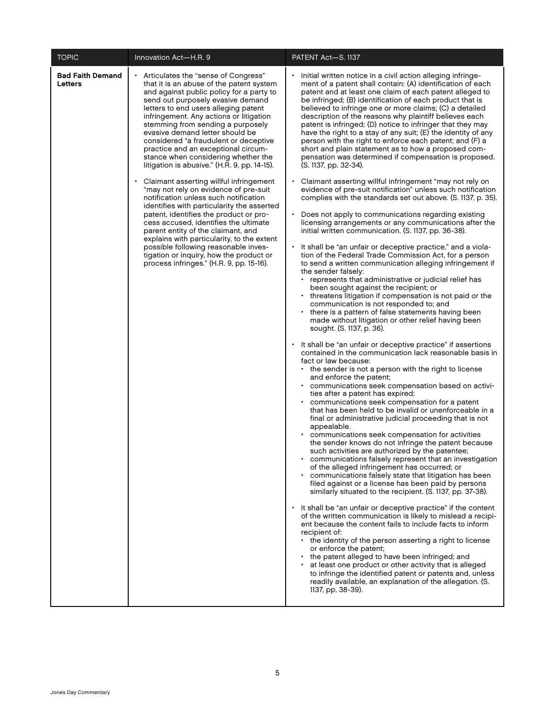| <b>TOPIC</b>                       | Innovation Act-H.R. 9                                                                                                                                                                                                                                                                                                                                                                                                                                                                                                                                                                                                                                                                                                                                                                                                                                                                                                                                                               | PATENT Act-S. 1137                                                                                                                                                                                                                                                                                                                                                                                                                                                                                                                                                                                                                                                                                                                                                                                                                                                                                                                                                                                                                                                                                                                                                                                                                                                                                                                                                                                                                                                                                                                                                                                                                                                                                                                                                                                                                                                                                                                                                                                                                                                                                                                                                                                                                                                                                                                                                                                                                                                                                                                                                                                                                                                                                                                                                                                                                                                                                                                                                                                                                                                                                                                                                                             |
|------------------------------------|-------------------------------------------------------------------------------------------------------------------------------------------------------------------------------------------------------------------------------------------------------------------------------------------------------------------------------------------------------------------------------------------------------------------------------------------------------------------------------------------------------------------------------------------------------------------------------------------------------------------------------------------------------------------------------------------------------------------------------------------------------------------------------------------------------------------------------------------------------------------------------------------------------------------------------------------------------------------------------------|------------------------------------------------------------------------------------------------------------------------------------------------------------------------------------------------------------------------------------------------------------------------------------------------------------------------------------------------------------------------------------------------------------------------------------------------------------------------------------------------------------------------------------------------------------------------------------------------------------------------------------------------------------------------------------------------------------------------------------------------------------------------------------------------------------------------------------------------------------------------------------------------------------------------------------------------------------------------------------------------------------------------------------------------------------------------------------------------------------------------------------------------------------------------------------------------------------------------------------------------------------------------------------------------------------------------------------------------------------------------------------------------------------------------------------------------------------------------------------------------------------------------------------------------------------------------------------------------------------------------------------------------------------------------------------------------------------------------------------------------------------------------------------------------------------------------------------------------------------------------------------------------------------------------------------------------------------------------------------------------------------------------------------------------------------------------------------------------------------------------------------------------------------------------------------------------------------------------------------------------------------------------------------------------------------------------------------------------------------------------------------------------------------------------------------------------------------------------------------------------------------------------------------------------------------------------------------------------------------------------------------------------------------------------------------------------------------------------------------------------------------------------------------------------------------------------------------------------------------------------------------------------------------------------------------------------------------------------------------------------------------------------------------------------------------------------------------------------------------------------------------------------------------------------------------------------|
| <b>Bad Faith Demand</b><br>Letters | Articulates the "sense of Congress"<br>that it is an abuse of the patent system<br>and against public policy for a party to<br>send out purposely evasive demand<br>letters to end users alleging patent<br>infringement. Any actions or litigation<br>stemming from sending a purposely<br>evasive demand letter should be<br>considered "a fraudulent or deceptive<br>practice and an exceptional circum-<br>stance when considering whether the<br>litigation is abusive." (H.R. 9, pp. 14-15).<br>Claimant asserting willful infringement<br>"may not rely on evidence of pre-suit<br>notification unless such notification<br>identifies with particularity the asserted<br>patent, identifies the product or pro-<br>cess accused, identifies the ultimate<br>parent entity of the claimant, and<br>explains with particularity, to the extent<br>possible following reasonable inves-<br>tigation or inquiry, how the product or<br>process infringes." (H.R. 9, pp. 15-16). | Initial written notice in a civil action alleging infringe-<br>ment of a patent shall contain: (A) identification of each<br>patent and at least one claim of each patent alleged to<br>be infringed; (B) identification of each product that is<br>believed to infringe one or more claims; (C) a detailed<br>description of the reasons why plaintiff believes each<br>patent is infringed; (D) notice to infringer that they may<br>have the right to a stay of any suit; (E) the identity of any<br>person with the right to enforce each patent; and (F) a<br>short and plain statement as to how a proposed com-<br>pensation was determined if compensation is proposed.<br>(S. 1137, pp. 32-34).<br>• Claimant asserting willful infringement "may not rely on<br>evidence of pre-suit notification" unless such notification<br>complies with the standards set out above. (S. 1137, p. 35).<br>Does not apply to communications regarding existing<br>licensing arrangements or any communications after the<br>initial written communication. (S. 1137, pp. 36-38).<br>• It shall be "an unfair or deceptive practice," and a viola-<br>tion of the Federal Trade Commission Act, for a person<br>to send a written communication alleging infringement if<br>the sender falsely:<br>represents that administrative or judicial relief has<br>been sought against the recipient; or<br>threatens litigation if compensation is not paid or the<br>communication is not responded to; and<br>there is a pattern of false statements having been<br>made without litigation or other relief having been<br>sought. (S. 1137, p. 36).<br>• It shall be "an unfair or deceptive practice" if assertions<br>contained in the communication lack reasonable basis in<br>fact or law because:<br>• the sender is not a person with the right to license<br>and enforce the patent;<br>communications seek compensation based on activi-<br>٠<br>ties after a patent has expired;<br>communications seek compensation for a patent<br>that has been held to be invalid or unenforceable in a<br>final or administrative judicial proceeding that is not<br>appealable.<br>communications seek compensation for activities<br>the sender knows do not infringe the patent because<br>such activities are authorized by the patentee;<br>communications falsely represent that an investigation<br>of the alleged infringement has occurred; or<br>• communications falsely state that litigation has been<br>filed against or a license has been paid by persons<br>similarly situated to the recipient. (S. 1137, pp. 37-38).<br>• It shall be "an unfair or deceptive practice" if the content<br>of the written communication is likely to mislead a recipi-<br>ent because the content fails to include facts to inform<br>recipient of:<br>• the identity of the person asserting a right to license<br>or enforce the patent;<br>the patent alleged to have been infringed; and<br>at least one product or other activity that is alleged<br>to infringe the identified patent or patents and, unless<br>readily available, an explanation of the allegation. (S.<br>1137, pp. 38-39). |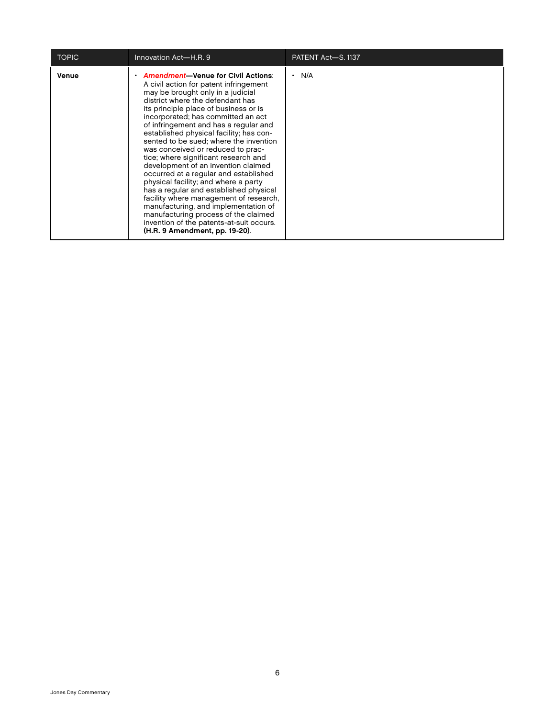| <b>TOPIC</b> | Innovation Act-H.R. 9                                                                                                                                                                                                                                                                                                                                                                                                                                                                                                                                                                                                                                                                                                                                                                                                            | PATENT Act-S. 1137 |
|--------------|----------------------------------------------------------------------------------------------------------------------------------------------------------------------------------------------------------------------------------------------------------------------------------------------------------------------------------------------------------------------------------------------------------------------------------------------------------------------------------------------------------------------------------------------------------------------------------------------------------------------------------------------------------------------------------------------------------------------------------------------------------------------------------------------------------------------------------|--------------------|
| Venue        | <b>Amendment-Venue for Civil Actions:</b><br>A civil action for patent infringement<br>may be brought only in a judicial<br>district where the defendant has<br>its principle place of business or is<br>incorporated; has committed an act<br>of infringement and has a regular and<br>established physical facility; has con-<br>sented to be sued: where the invention<br>was conceived or reduced to prac-<br>tice; where significant research and<br>development of an invention claimed<br>occurred at a regular and established<br>physical facility; and where a party<br>has a regular and established physical<br>facility where management of research,<br>manufacturing, and implementation of<br>manufacturing process of the claimed<br>invention of the patents-at-suit occurs.<br>(H.R. 9 Amendment, pp. 19-20). | N/A                |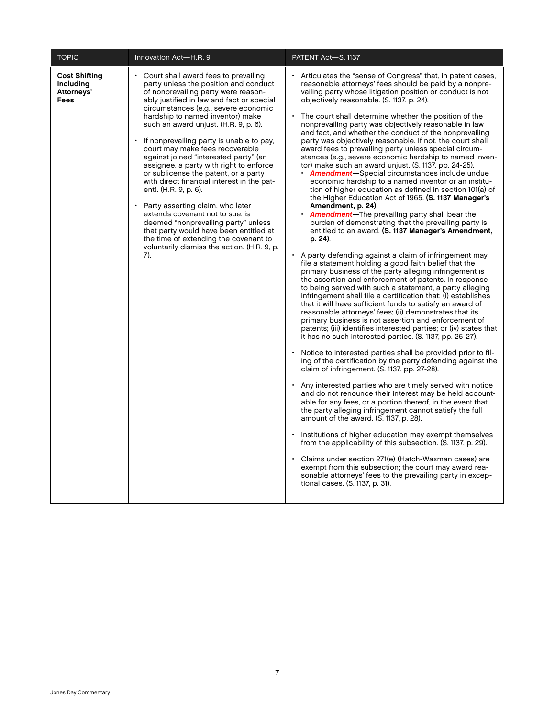| <b>TOPIC</b>                                            | Innovation Act-H.R. 9                                                                                                                                                                                                                                                                                                                                                                                                                                                                                                                                                                                                                                                                                                                                                                                                             | PATENT Act-S. 1137                                                                                                                                                                                                                                                                                                                                                                                                                                                                                                                                                                                                                                                                                                                                                                                                                                                                                                                                                                                                                                                                                                                                                                                                                                                                                                                                                                                                                                                                                                                                                                                                                                                                                                                                                                                                                                                                                                                                                                                                                                                                                                                                                                                                                                                                                                                                                                                                                                                                                                                                                                                 |
|---------------------------------------------------------|-----------------------------------------------------------------------------------------------------------------------------------------------------------------------------------------------------------------------------------------------------------------------------------------------------------------------------------------------------------------------------------------------------------------------------------------------------------------------------------------------------------------------------------------------------------------------------------------------------------------------------------------------------------------------------------------------------------------------------------------------------------------------------------------------------------------------------------|----------------------------------------------------------------------------------------------------------------------------------------------------------------------------------------------------------------------------------------------------------------------------------------------------------------------------------------------------------------------------------------------------------------------------------------------------------------------------------------------------------------------------------------------------------------------------------------------------------------------------------------------------------------------------------------------------------------------------------------------------------------------------------------------------------------------------------------------------------------------------------------------------------------------------------------------------------------------------------------------------------------------------------------------------------------------------------------------------------------------------------------------------------------------------------------------------------------------------------------------------------------------------------------------------------------------------------------------------------------------------------------------------------------------------------------------------------------------------------------------------------------------------------------------------------------------------------------------------------------------------------------------------------------------------------------------------------------------------------------------------------------------------------------------------------------------------------------------------------------------------------------------------------------------------------------------------------------------------------------------------------------------------------------------------------------------------------------------------------------------------------------------------------------------------------------------------------------------------------------------------------------------------------------------------------------------------------------------------------------------------------------------------------------------------------------------------------------------------------------------------------------------------------------------------------------------------------------------------|
| <b>Cost Shifting</b><br>Including<br>Attorneys'<br>Fees | • Court shall award fees to prevailing<br>party unless the position and conduct<br>of nonprevailing party were reason-<br>ably justified in law and fact or special<br>circumstances (e.g., severe economic<br>hardship to named inventor) make<br>such an award unjust. (H.R. 9, p. 6).<br>If nonprevailing party is unable to pay,<br>court may make fees recoverable<br>against joined "interested party" (an<br>assignee, a party with right to enforce<br>or sublicense the patent, or a party<br>with direct financial interest in the pat-<br>ent). (H.R. 9, p. 6).<br>Party asserting claim, who later<br>extends covenant not to sue, is<br>deemed "nonprevailing party" unless<br>that party would have been entitled at<br>the time of extending the covenant to<br>voluntarily dismiss the action. (H.R. 9, p.<br>7). | Articulates the "sense of Congress" that, in patent cases,<br>reasonable attorneys' fees should be paid by a nonpre-<br>vailing party whose litigation position or conduct is not<br>objectively reasonable. (S. 1137, p. 24).<br>The court shall determine whether the position of the<br>nonprevailing party was objectively reasonable in law<br>and fact, and whether the conduct of the nonprevailing<br>party was objectively reasonable. If not, the court shall<br>award fees to prevailing party unless special circum-<br>stances (e.g., severe economic hardship to named inven-<br>tor) make such an award unjust. (S. 1137, pp. 24-25).<br>• Amendment-Special circumstances include undue<br>economic hardship to a named inventor or an institu-<br>tion of higher education as defined in section 101(a) of<br>the Higher Education Act of 1965. (S. 1137 Manager's<br>Amendment, p. 24).<br><b>Amendment-The prevailing party shall bear the</b><br>burden of demonstrating that the prevailing party is<br>entitled to an award. (S. 1137 Manager's Amendment,<br>p. 24).<br>• A party defending against a claim of infringement may<br>file a statement holding a good faith belief that the<br>primary business of the party alleging infringement is<br>the assertion and enforcement of patents. In response<br>to being served with such a statement, a party alleging<br>infringement shall file a certification that: (i) establishes<br>that it will have sufficient funds to satisfy an award of<br>reasonable attorneys' fees; (ii) demonstrates that its<br>primary business is not assertion and enforcement of<br>patents; (iii) identifies interested parties; or (iv) states that<br>it has no such interested parties. (S. 1137, pp. 25-27).<br>Notice to interested parties shall be provided prior to fil-<br>ing of the certification by the party defending against the<br>claim of infringement. (S. 1137, pp. 27-28).<br>Any interested parties who are timely served with notice<br>and do not renounce their interest may be held account-<br>able for any fees, or a portion thereof, in the event that<br>the party alleging infringement cannot satisfy the full<br>amount of the award. (S. 1137, p. 28).<br>Institutions of higher education may exempt themselves<br>from the applicability of this subsection. (S. 1137, p. 29).<br>Claims under section 271(e) (Hatch-Waxman cases) are<br>exempt from this subsection; the court may award rea-<br>sonable attorneys' fees to the prevailing party in excep-<br>tional cases. (S. 1137, p. 31). |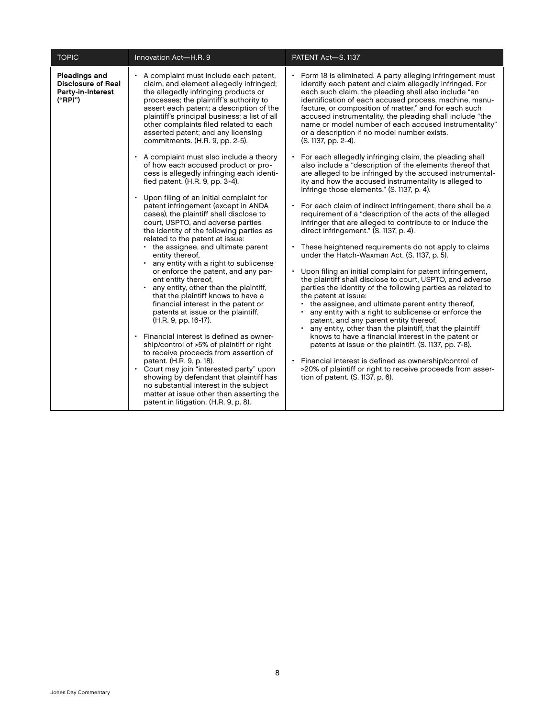| <b>TOPIC</b>                                                                                                                                                                                                                                                                     | Innovation Act-H.R. 9                                                                                                                                                                                                                                       | PATENT Act-S. 1137                                                                                                                                                                                                                                                                                                                                                                                                                                                                         |
|----------------------------------------------------------------------------------------------------------------------------------------------------------------------------------------------------------------------------------------------------------------------------------|-------------------------------------------------------------------------------------------------------------------------------------------------------------------------------------------------------------------------------------------------------------|--------------------------------------------------------------------------------------------------------------------------------------------------------------------------------------------------------------------------------------------------------------------------------------------------------------------------------------------------------------------------------------------------------------------------------------------------------------------------------------------|
| Pleadings and<br><b>Disclosure of Real</b><br>the allegedly infringing products or<br>Party-in-Interest<br>processes; the plaintiff's authority to<br>("RPI")<br>other complaints filed related to each<br>asserted patent; and any licensing<br>commitments. (H.R. 9, pp. 2-5). | A complaint must include each patent,<br>claim, and element allegedly infringed;<br>assert each patent; a description of the<br>plaintiff's principal business; a list of all                                                                               | Form 18 is eliminated. A party alleging infringement must<br>identify each patent and claim allegedly infringed. For<br>each such claim, the pleading shall also include "an<br>identification of each accused process, machine, manu-<br>facture, or composition of matter," and for each such<br>accused instrumentality, the pleading shall include "the<br>name or model number of each accused instrumentality"<br>or a description if no model number exists.<br>(S. 1137, pp. 2-4). |
|                                                                                                                                                                                                                                                                                  | • A complaint must also include a theory<br>of how each accused product or pro-<br>cess is allegedly infringing each identi-<br>fied patent. (H.R. 9, pp. 3-4).<br>Upon filing of an initial complaint for<br>$\bullet$                                     | For each allegedly infringing claim, the pleading shall<br>also include a "description of the elements thereof that<br>are alleged to be infringed by the accused instrumental-<br>ity and how the accused instrumentality is alleged to<br>infringe those elements." (S. 1137, p. 4).                                                                                                                                                                                                     |
|                                                                                                                                                                                                                                                                                  | patent infringement (except in ANDA<br>cases), the plaintiff shall disclose to<br>court, USPTO, and adverse parties<br>the identity of the following parties as<br>related to the patent at issue:                                                          | For each claim of indirect infringement, there shall be a<br>requirement of a "description of the acts of the alleged<br>infringer that are alleged to contribute to or induce the<br>direct infringement." (S. 1137, p. 4).                                                                                                                                                                                                                                                               |
|                                                                                                                                                                                                                                                                                  | • the assignee, and ultimate parent<br>entity thereof,<br>• any entity with a right to sublicense                                                                                                                                                           | • These heightened requirements do not apply to claims<br>under the Hatch-Waxman Act. (S. 1137, p. 5).                                                                                                                                                                                                                                                                                                                                                                                     |
|                                                                                                                                                                                                                                                                                  | or enforce the patent, and any par-<br>ent entity thereof,<br>any entity, other than the plaintiff,<br>$\bullet$<br>that the plaintiff knows to have a<br>financial interest in the patent or<br>patents at issue or the plaintiff.<br>(H.R. 9, pp. 16-17). | Upon filing an initial complaint for patent infringement,<br>the plaintiff shall disclose to court, USPTO, and adverse<br>parties the identity of the following parties as related to<br>the patent at issue:<br>the assignee, and ultimate parent entity thereof,<br>any entity with a right to sublicense or enforce the<br>patent, and any parent entity thereof,<br>any entity, other than the plaintiff, that the plaintiff                                                           |
|                                                                                                                                                                                                                                                                                  | Financial interest is defined as owner-<br>ship/control of >5% of plaintiff or right<br>to receive proceeds from assertion of                                                                                                                               | knows to have a financial interest in the patent or<br>patents at issue or the plaintiff. (S. 1137, pp. 7-8).                                                                                                                                                                                                                                                                                                                                                                              |
|                                                                                                                                                                                                                                                                                  | patent. (H.R. 9, p. 18).<br>• Court may join "interested party" upon<br>showing by defendant that plaintiff has<br>no substantial interest in the subject<br>matter at issue other than asserting the<br>patent in litigation. (H.R. 9, p. 8).              | Financial interest is defined as ownership/control of<br>>20% of plaintiff or right to receive proceeds from asser-<br>tion of patent. (S. 1137, p. 6).                                                                                                                                                                                                                                                                                                                                    |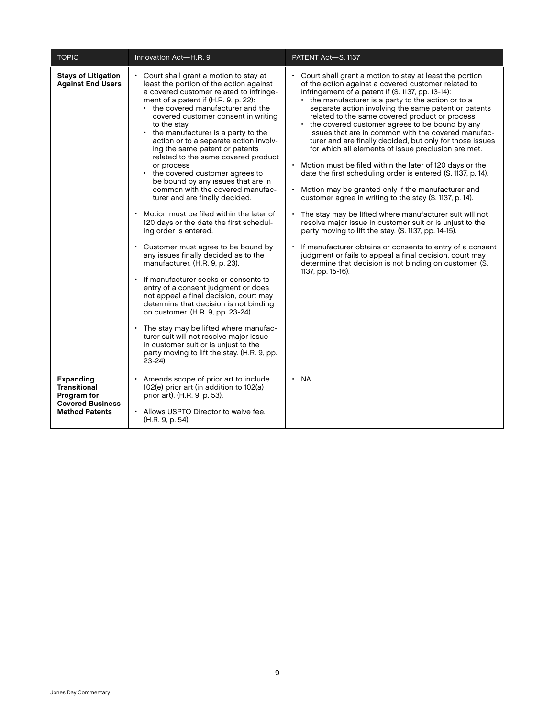| <b>TOPIC</b>                                                                                        | Innovation Act-H.R. 9                                                                                                                                                                                                                                                                                                                                                                                                                                                                                                                                                                                                                                                                                                                                                                                                                                                                                                                                                                                                                                                                                                                                                                                                                  | PATENT Act-S. 1137                                                                                                                                                                                                                                                                                                                                                                                                                                                                                                                                                                                                                                                                                                                                                                                                                                                                                                                                                                                                                                                                                                                                                                                 |
|-----------------------------------------------------------------------------------------------------|----------------------------------------------------------------------------------------------------------------------------------------------------------------------------------------------------------------------------------------------------------------------------------------------------------------------------------------------------------------------------------------------------------------------------------------------------------------------------------------------------------------------------------------------------------------------------------------------------------------------------------------------------------------------------------------------------------------------------------------------------------------------------------------------------------------------------------------------------------------------------------------------------------------------------------------------------------------------------------------------------------------------------------------------------------------------------------------------------------------------------------------------------------------------------------------------------------------------------------------|----------------------------------------------------------------------------------------------------------------------------------------------------------------------------------------------------------------------------------------------------------------------------------------------------------------------------------------------------------------------------------------------------------------------------------------------------------------------------------------------------------------------------------------------------------------------------------------------------------------------------------------------------------------------------------------------------------------------------------------------------------------------------------------------------------------------------------------------------------------------------------------------------------------------------------------------------------------------------------------------------------------------------------------------------------------------------------------------------------------------------------------------------------------------------------------------------|
| <b>Stays of Litigation</b><br><b>Against End Users</b>                                              | Court shall grant a motion to stay at<br>least the portion of the action against<br>a covered customer related to infringe-<br>ment of a patent if (H.R. 9, p. 22):<br>• the covered manufacturer and the<br>covered customer consent in writing<br>to the stay<br>• the manufacturer is a party to the<br>action or to a separate action involv-<br>ing the same patent or patents<br>related to the same covered product<br>or process<br>the covered customer agrees to<br>$\bullet$<br>be bound by any issues that are in<br>common with the covered manufac-<br>turer and are finally decided.<br>Motion must be filed within the later of<br>120 days or the date the first schedul-<br>ing order is entered.<br>Customer must agree to be bound by<br>any issues finally decided as to the<br>manufacturer. (H.R. 9, p. 23).<br>If manufacturer seeks or consents to<br>entry of a consent judgment or does<br>not appeal a final decision, court may<br>determine that decision is not binding<br>on customer. (H.R. 9, pp. 23-24).<br>The stay may be lifted where manufac-<br>turer suit will not resolve major issue<br>in customer suit or is unjust to the<br>party moving to lift the stay. (H.R. 9, pp.<br>$23 - 24$ ). | Court shall grant a motion to stay at least the portion<br>of the action against a covered customer related to<br>infringement of a patent if (S. 1137, pp. 13-14):<br>the manufacturer is a party to the action or to a<br>separate action involving the same patent or patents<br>related to the same covered product or process<br>the covered customer agrees to be bound by any<br>issues that are in common with the covered manufac-<br>turer and are finally decided, but only for those issues<br>for which all elements of issue preclusion are met.<br>Motion must be filed within the later of 120 days or the<br>date the first scheduling order is entered (S. 1137, p. 14).<br>Motion may be granted only if the manufacturer and<br>customer agree in writing to the stay (S. 1137, p. 14).<br>The stay may be lifted where manufacturer suit will not<br>resolve major issue in customer suit or is unjust to the<br>party moving to lift the stay. (S. 1137, pp. 14-15).<br>If manufacturer obtains or consents to entry of a consent<br>judgment or fails to appeal a final decision, court may<br>determine that decision is not binding on customer. (S.<br>1137, pp. 15-16). |
| Expanding<br><b>Transitional</b><br>Program for<br><b>Covered Business</b><br><b>Method Patents</b> | Amends scope of prior art to include<br>102(e) prior art (in addition to 102(a)<br>prior art). (H.R. 9, p. 53).<br>Allows USPTO Director to waive fee.<br>(H.R. 9, p. 54).                                                                                                                                                                                                                                                                                                                                                                                                                                                                                                                                                                                                                                                                                                                                                                                                                                                                                                                                                                                                                                                             | · NA                                                                                                                                                                                                                                                                                                                                                                                                                                                                                                                                                                                                                                                                                                                                                                                                                                                                                                                                                                                                                                                                                                                                                                                               |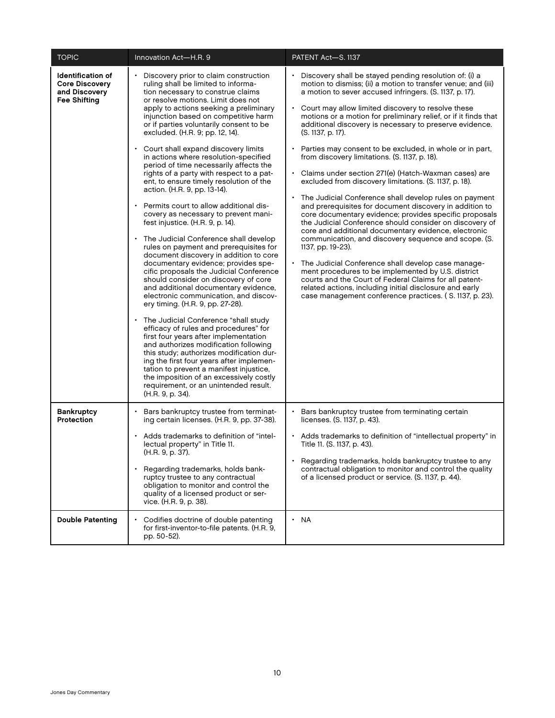| <b>TOPIC</b>                                                                              | Innovation Act-H.R. 9                                                                                                                                                                                                                                                                                                                                                                                                                                                                                                                                                                                                                                                                                                                                                                                                                                                                                                                                                                                                                                                                                                                                                                                                                                                                                                                                                                                                                                                                    | PATENT Act-S. 1137                                                                                                                                                                                                                                                                                                                                                                                                                                                                                                                                                                                                                                                                                                                                                                                                                                                                                                                                                                                                                                                                                                                                                                                                                                                                                      |
|-------------------------------------------------------------------------------------------|------------------------------------------------------------------------------------------------------------------------------------------------------------------------------------------------------------------------------------------------------------------------------------------------------------------------------------------------------------------------------------------------------------------------------------------------------------------------------------------------------------------------------------------------------------------------------------------------------------------------------------------------------------------------------------------------------------------------------------------------------------------------------------------------------------------------------------------------------------------------------------------------------------------------------------------------------------------------------------------------------------------------------------------------------------------------------------------------------------------------------------------------------------------------------------------------------------------------------------------------------------------------------------------------------------------------------------------------------------------------------------------------------------------------------------------------------------------------------------------|---------------------------------------------------------------------------------------------------------------------------------------------------------------------------------------------------------------------------------------------------------------------------------------------------------------------------------------------------------------------------------------------------------------------------------------------------------------------------------------------------------------------------------------------------------------------------------------------------------------------------------------------------------------------------------------------------------------------------------------------------------------------------------------------------------------------------------------------------------------------------------------------------------------------------------------------------------------------------------------------------------------------------------------------------------------------------------------------------------------------------------------------------------------------------------------------------------------------------------------------------------------------------------------------------------|
| <b>Identification of</b><br><b>Core Discovery</b><br>and Discovery<br><b>Fee Shifting</b> | Discovery prior to claim construction<br>ruling shall be limited to informa-<br>tion necessary to construe claims<br>or resolve motions. Limit does not<br>apply to actions seeking a preliminary<br>injunction based on competitive harm<br>or if parties voluntarily consent to be<br>excluded. (H.R. 9; pp. 12, 14).<br>Court shall expand discovery limits<br>in actions where resolution-specified<br>period of time necessarily affects the<br>rights of a party with respect to a pat-<br>ent, to ensure timely resolution of the<br>action. (H.R. 9, pp. 13-14).<br>Permits court to allow additional dis-<br>covery as necessary to prevent mani-<br>fest injustice. (H.R. 9, p. 14).<br>The Judicial Conference shall develop<br>rules on payment and prerequisites for<br>document discovery in addition to core<br>documentary evidence; provides spe-<br>cific proposals the Judicial Conference<br>should consider on discovery of core<br>and additional documentary evidence,<br>electronic communication, and discov-<br>ery timing. (H.R. 9, pp. 27-28).<br>The Judicial Conference "shall study<br>efficacy of rules and procedures" for<br>first four years after implementation<br>and authorizes modification following<br>this study; authorizes modification dur-<br>ing the first four years after implemen-<br>tation to prevent a manifest injustice,<br>the imposition of an excessively costly<br>requirement, or an unintended result.<br>(H.R. 9, p. 34). | Discovery shall be stayed pending resolution of: (i) a<br>motion to dismiss; (ii) a motion to transfer venue; and (iii)<br>a motion to sever accused infringers. (S. 1137, p. 17).<br>Court may allow limited discovery to resolve these<br>motions or a motion for preliminary relief, or if it finds that<br>additional discovery is necessary to preserve evidence.<br>(S. 1137, p. 17).<br>Parties may consent to be excluded, in whole or in part,<br>from discovery limitations. (S. 1137, p. 18).<br>· Claims under section 271(e) (Hatch-Waxman cases) are<br>excluded from discovery limitations. (S. 1137, p. 18).<br>The Judicial Conference shall develop rules on payment<br>and prerequisites for document discovery in addition to<br>core documentary evidence; provides specific proposals<br>the Judicial Conference should consider on discovery of<br>core and additional documentary evidence, electronic<br>communication, and discovery sequence and scope. (S.<br>1137, pp. 19-23).<br>The Judicial Conference shall develop case manage-<br>ment procedures to be implemented by U.S. district<br>courts and the Court of Federal Claims for all patent-<br>related actions, including initial disclosure and early<br>case management conference practices. (S. 1137, p. 23). |
| <b>Bankruptcy</b><br>Protection                                                           | Bars bankruptcy trustee from terminat-<br>ing certain licenses. (H.R. 9, pp. 37-38).<br>Adds trademarks to definition of "intel-<br>lectual property" in Title 11.<br>(H.R. 9, p. 37).<br>Regarding trademarks, holds bank-<br>ruptcy trustee to any contractual<br>obligation to monitor and control the<br>quality of a licensed product or ser-<br>vice. (H.R. 9, p. 38).                                                                                                                                                                                                                                                                                                                                                                                                                                                                                                                                                                                                                                                                                                                                                                                                                                                                                                                                                                                                                                                                                                             | Bars bankruptcy trustee from terminating certain<br>licenses. (S. 1137, p. 43).<br>Adds trademarks to definition of "intellectual property" in<br>Title 11. (S. 1137, p. 43).<br>Regarding trademarks, holds bankruptcy trustee to any<br>contractual obligation to monitor and control the quality<br>of a licensed product or service. (S. 1137, p. 44).                                                                                                                                                                                                                                                                                                                                                                                                                                                                                                                                                                                                                                                                                                                                                                                                                                                                                                                                              |
| <b>Double Patenting</b>                                                                   | Codifies doctrine of double patenting<br>for first-inventor-to-file patents. (H.R. 9,<br>pp. 50-52).                                                                                                                                                                                                                                                                                                                                                                                                                                                                                                                                                                                                                                                                                                                                                                                                                                                                                                                                                                                                                                                                                                                                                                                                                                                                                                                                                                                     | • NA                                                                                                                                                                                                                                                                                                                                                                                                                                                                                                                                                                                                                                                                                                                                                                                                                                                                                                                                                                                                                                                                                                                                                                                                                                                                                                    |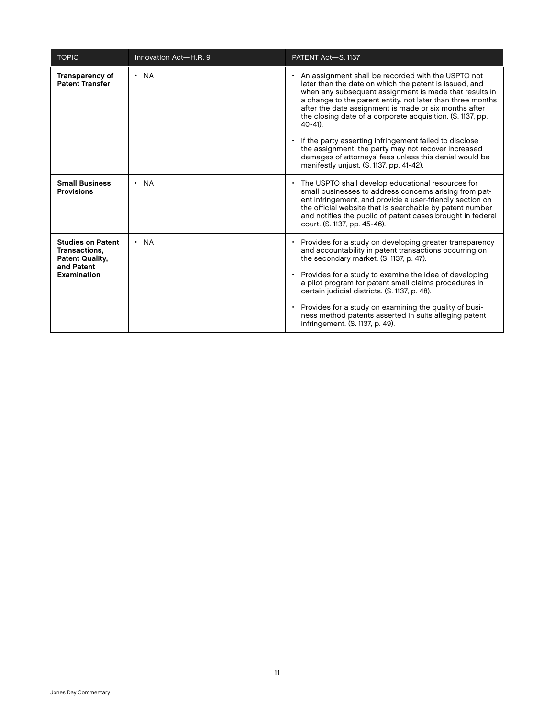| <b>TOPIC</b>                                                                                     | Innovation Act-H.R. 9  | PATENT Act-S. 1137                                                                                                                                                                                                                                                                                                                                                                                                                                                                                                                                                                                 |
|--------------------------------------------------------------------------------------------------|------------------------|----------------------------------------------------------------------------------------------------------------------------------------------------------------------------------------------------------------------------------------------------------------------------------------------------------------------------------------------------------------------------------------------------------------------------------------------------------------------------------------------------------------------------------------------------------------------------------------------------|
| <b>Transparency of</b><br><b>Patent Transfer</b>                                                 | <b>NA</b><br>$\bullet$ | • An assignment shall be recorded with the USPTO not<br>later than the date on which the patent is issued, and<br>when any subsequent assignment is made that results in<br>a change to the parent entity, not later than three months<br>after the date assignment is made or six months after<br>the closing date of a corporate acquisition. (S. 1137, pp.<br>$40-41$ ).<br>If the party asserting infringement failed to disclose<br>the assignment, the party may not recover increased<br>damages of attorneys' fees unless this denial would be<br>manifestly unjust. (S. 1137, pp. 41-42). |
| <b>Small Business</b><br><b>Provisions</b>                                                       | $\cdot$ NA             | • The USPTO shall develop educational resources for<br>small businesses to address concerns arising from pat-<br>ent infringement, and provide a user-friendly section on<br>the official website that is searchable by patent number<br>and notifies the public of patent cases brought in federal<br>court. (S. 1137, pp. 45-46).                                                                                                                                                                                                                                                                |
| <b>Studies on Patent</b><br>Transactions,<br><b>Patent Quality,</b><br>and Patent<br>Examination | <b>NA</b>              | Provides for a study on developing greater transparency<br>and accountability in patent transactions occurring on<br>the secondary market. (S. 1137, p. 47).<br>• Provides for a study to examine the idea of developing<br>a pilot program for patent small claims procedures in<br>certain judicial districts. (S. 1137, p. 48).<br>Provides for a study on examining the quality of busi-<br>ness method patents asserted in suits alleging patent<br>infringement. (S. 1137, p. 49).                                                                                                           |